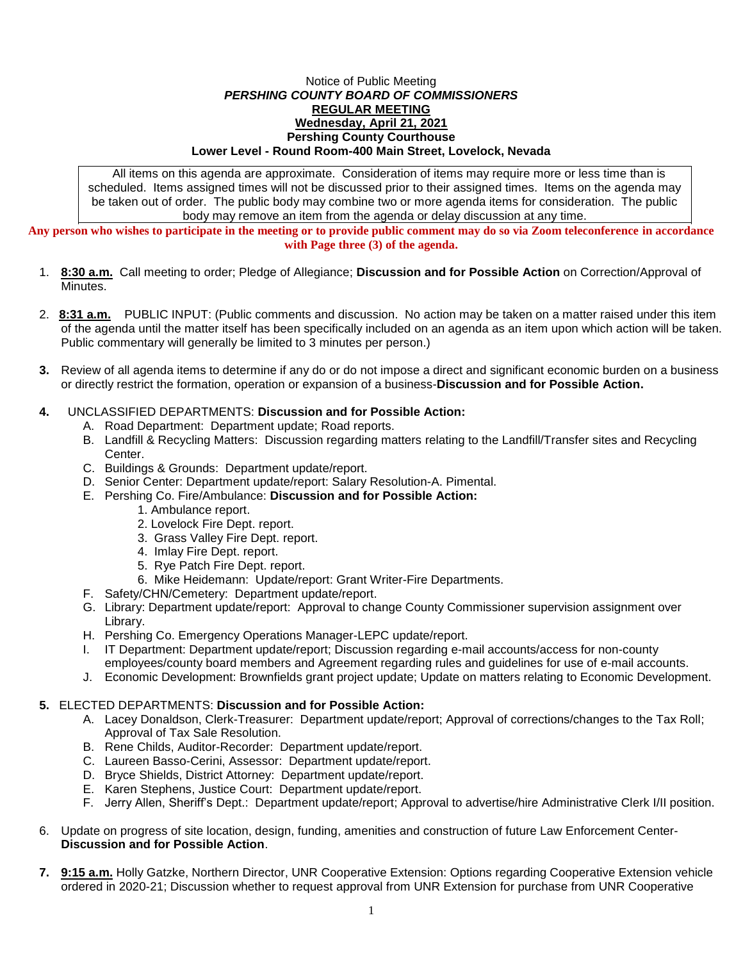## Notice of Public Meeting *PERSHING COUNTY BOARD OF COMMISSIONERS* **REGULAR MEETING Wednesday, April 21, 2021 Pershing County Courthouse Lower Level - Round Room-400 Main Street, Lovelock, Nevada**

All items on this agenda are approximate. Consideration of items may require more or less time than is scheduled. Items assigned times will not be discussed prior to their assigned times. Items on the agenda may be taken out of order. The public body may combine two or more agenda items for consideration. The public body may remove an item from the agenda or delay discussion at any time.

**Any person who wishes to participate in the meeting or to provide public comment may do so via Zoom teleconference in accordance with Page three (3) of the agenda.**

- 1. **8:30 a.m.** Call meeting to order; Pledge of Allegiance; **Discussion and for Possible Action** on Correction/Approval of Minutes.
- 2. **8:31 a.m.** PUBLIC INPUT: (Public comments and discussion. No action may be taken on a matter raised under this item of the agenda until the matter itself has been specifically included on an agenda as an item upon which action will be taken. Public commentary will generally be limited to 3 minutes per person.)
- **3.** Review of all agenda items to determine if any do or do not impose a direct and significant economic burden on a business or directly restrict the formation, operation or expansion of a business-**Discussion and for Possible Action.**

## **4.** UNCLASSIFIED DEPARTMENTS: **Discussion and for Possible Action:**

- A. Road Department: Department update; Road reports.
- B. Landfill & Recycling Matters: Discussion regarding matters relating to the Landfill/Transfer sites and Recycling Center.
- C. Buildings & Grounds: Department update/report.
- D. Senior Center: Department update/report: Salary Resolution-A. Pimental.
- E. Pershing Co. Fire/Ambulance: **Discussion and for Possible Action:**
	- 1. Ambulance report.
	- 2. Lovelock Fire Dept. report.
	- 3. Grass Valley Fire Dept. report.
	- 4. Imlay Fire Dept. report.
	- 5. Rye Patch Fire Dept. report.
	- 6. Mike Heidemann: Update/report: Grant Writer-Fire Departments.
- F. Safety/CHN/Cemetery: Department update/report.
- G. Library: Department update/report: Approval to change County Commissioner supervision assignment over Library.
- H. Pershing Co. Emergency Operations Manager-LEPC update/report.
- I. IT Department: Department update/report; Discussion regarding e-mail accounts/access for non-county employees/county board members and Agreement regarding rules and guidelines for use of e-mail accounts.
- J. Economic Development: Brownfields grant project update; Update on matters relating to Economic Development.

## **5.** ELECTED DEPARTMENTS: **Discussion and for Possible Action:**

- A. Lacey Donaldson, Clerk-Treasurer: Department update/report; Approval of corrections/changes to the Tax Roll; Approval of Tax Sale Resolution.
- B. Rene Childs, Auditor-Recorder: Department update/report.
- C. Laureen Basso-Cerini, Assessor: Department update/report.
- D. Bryce Shields, District Attorney: Department update/report.
- E. Karen Stephens, Justice Court: Department update/report.
- F. Jerry Allen, Sheriff's Dept.: Department update/report; Approval to advertise/hire Administrative Clerk I/II position.
- 6. Update on progress of site location, design, funding, amenities and construction of future Law Enforcement Center-**Discussion and for Possible Action**.
- **7. 9:15 a.m.** Holly Gatzke, Northern Director, UNR Cooperative Extension: Options regarding Cooperative Extension vehicle ordered in 2020-21; Discussion whether to request approval from UNR Extension for purchase from UNR Cooperative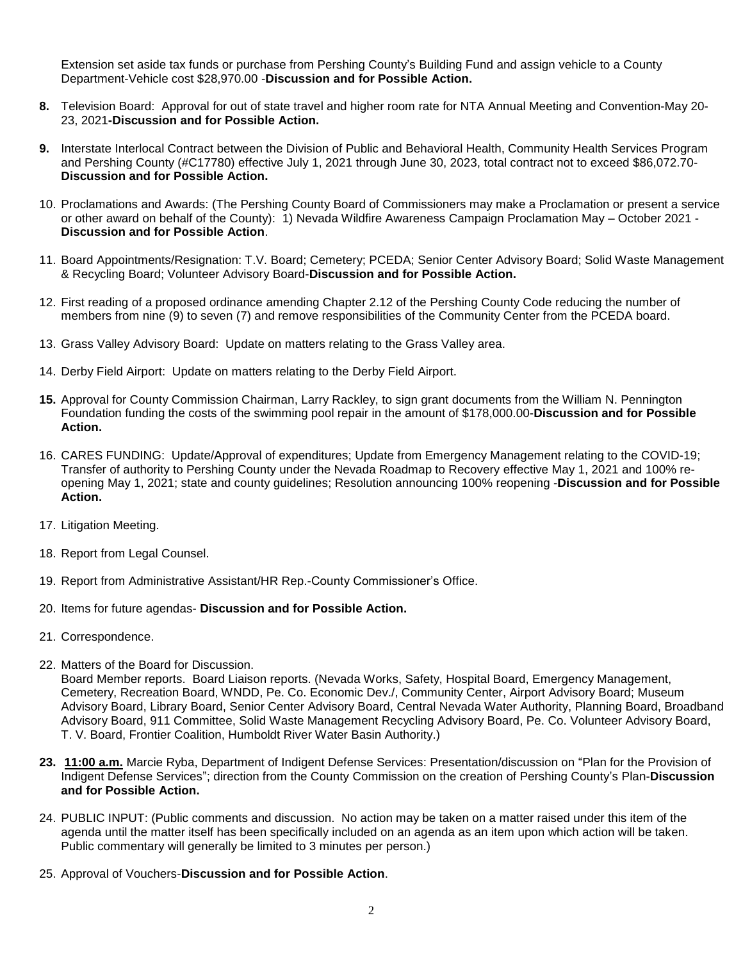Extension set aside tax funds or purchase from Pershing County's Building Fund and assign vehicle to a County Department-Vehicle cost \$28,970.00 -**Discussion and for Possible Action.**

- **8.** Television Board:Approval for out of state travel and higher room rate for NTA Annual Meeting and Convention-May 20- 23, 2021**-Discussion and for Possible Action.**
- **9.** Interstate Interlocal Contract between the Division of Public and Behavioral Health, Community Health Services Program and Pershing County (#C17780) effective July 1, 2021 through June 30, 2023, total contract not to exceed \$86,072.70- **Discussion and for Possible Action.**
- 10. Proclamations and Awards: (The Pershing County Board of Commissioners may make a Proclamation or present a service or other award on behalf of the County): 1) Nevada Wildfire Awareness Campaign Proclamation May – October 2021 - **Discussion and for Possible Action**.
- 11. Board Appointments/Resignation: T.V. Board; Cemetery; PCEDA; Senior Center Advisory Board; Solid Waste Management & Recycling Board; Volunteer Advisory Board-**Discussion and for Possible Action.**
- 12. First reading of a proposed ordinance amending Chapter 2.12 of the Pershing County Code reducing the number of members from nine (9) to seven (7) and remove responsibilities of the Community Center from the PCEDA board.
- 13. Grass Valley Advisory Board: Update on matters relating to the Grass Valley area.
- 14. Derby Field Airport: Update on matters relating to the Derby Field Airport.
- **15.** Approval for County Commission Chairman, Larry Rackley, to sign grant documents from the William N. Pennington Foundation funding the costs of the swimming pool repair in the amount of \$178,000.00-**Discussion and for Possible Action.**
- 16. CARES FUNDING: Update/Approval of expenditures; Update from Emergency Management relating to the COVID-19; Transfer of authority to Pershing County under the Nevada Roadmap to Recovery effective May 1, 2021 and 100% reopening May 1, 2021; state and county guidelines; Resolution announcing 100% reopening -**Discussion and for Possible Action.**
- 17. Litigation Meeting.
- 18. Report from Legal Counsel.
- 19. Report from Administrative Assistant/HR Rep.-County Commissioner's Office.
- 20. Items for future agendas- **Discussion and for Possible Action.**
- 21. Correspondence.
- 22. Matters of the Board for Discussion.

Board Member reports. Board Liaison reports. (Nevada Works, Safety, Hospital Board, Emergency Management, Cemetery, Recreation Board, WNDD, Pe. Co. Economic Dev./, Community Center, Airport Advisory Board; Museum Advisory Board, Library Board, Senior Center Advisory Board, Central Nevada Water Authority, Planning Board, Broadband Advisory Board, 911 Committee, Solid Waste Management Recycling Advisory Board, Pe. Co. Volunteer Advisory Board, T. V. Board, Frontier Coalition, Humboldt River Water Basin Authority.)

- **23. 11:00 a.m.** Marcie Ryba, Department of Indigent Defense Services: Presentation/discussion on "Plan for the Provision of Indigent Defense Services"; direction from the County Commission on the creation of Pershing County's Plan-**Discussion and for Possible Action.**
- 24. PUBLIC INPUT: (Public comments and discussion. No action may be taken on a matter raised under this item of the agenda until the matter itself has been specifically included on an agenda as an item upon which action will be taken. Public commentary will generally be limited to 3 minutes per person.)
- 25. Approval of Vouchers-**Discussion and for Possible Action**.